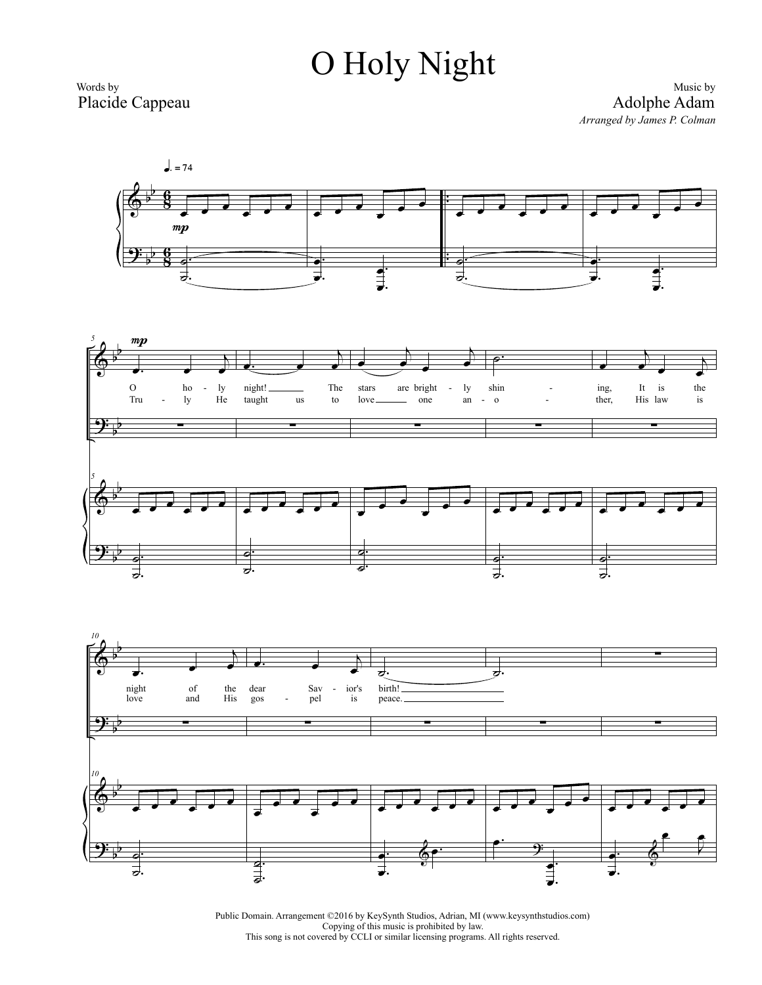## O Holy Night

Words by Placide Cappeau

Music by Adolphe Adam *Arranged by James P. Colman*



Public Domain. Arrangement ©2016 by KeySynth Studios, Adrian, MI (www.keysynthstudios.com) Copying of this music is prohibited by law. This song is not covered by CCLI or similar licensing programs. All rights reserved.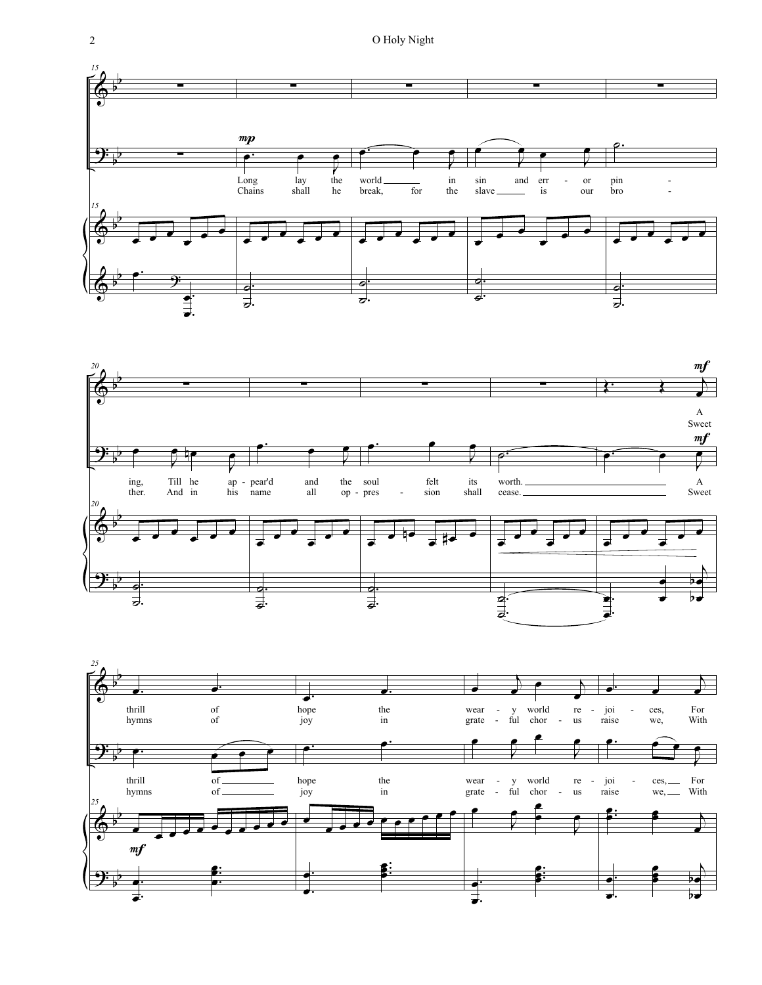